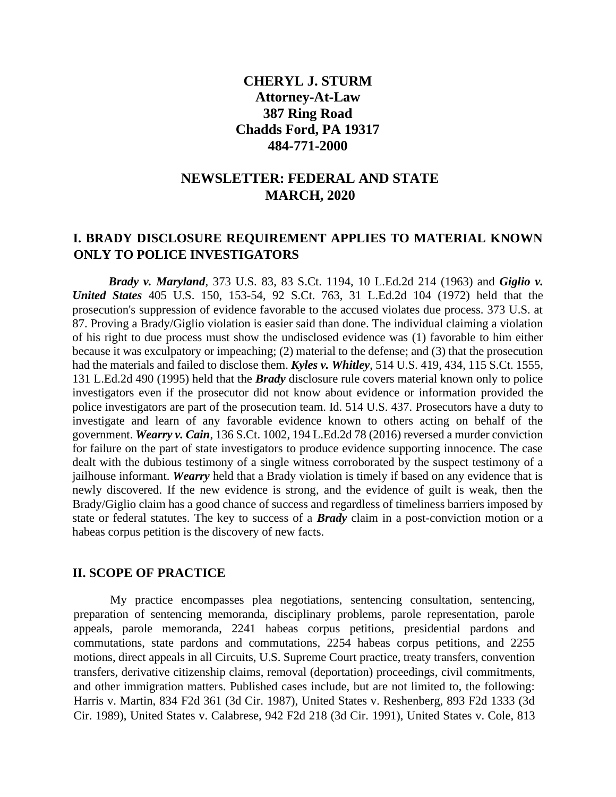## **CHERYL J. STURM Attorney-At-Law 387 Ring Road Chadds Ford, PA 19317 484-771-2000**

## **NEWSLETTER: FEDERAL AND STATE MARCH, 2020**

## **I. BRADY DISCLOSURE REQUIREMENT APPLIES TO MATERIAL KNOWN ONLY TO POLICE INVESTIGATORS**

*Brady v. Maryland*, 373 U.S. 83, 83 S.Ct. 1194, 10 L.Ed.2d 214 (1963) and *Giglio v. United States* 405 U.S. 150, 153-54, 92 S.Ct. 763, 31 L.Ed.2d 104 (1972) held that the prosecution's suppression of evidence favorable to the accused violates due process. 373 U.S. at 87. Proving a Brady/Giglio violation is easier said than done. The individual claiming a violation of his right to due process must show the undisclosed evidence was (1) favorable to him either because it was exculpatory or impeaching; (2) material to the defense; and (3) that the prosecution had the materials and failed to disclose them. *Kyles v. Whitley*, 514 U.S. 419, 434, 115 S.Ct. 1555, 131 L.Ed.2d 490 (1995) held that the *Brady* disclosure rule covers material known only to police investigators even if the prosecutor did not know about evidence or information provided the police investigators are part of the prosecution team. Id. 514 U.S. 437. Prosecutors have a duty to investigate and learn of any favorable evidence known to others acting on behalf of the government. *Wearry v. Cain*, 136 S.Ct. 1002, 194 L.Ed.2d 78 (2016) reversed a murder conviction for failure on the part of state investigators to produce evidence supporting innocence. The case dealt with the dubious testimony of a single witness corroborated by the suspect testimony of a jailhouse informant. *Wearry* held that a Brady violation is timely if based on any evidence that is newly discovered. If the new evidence is strong, and the evidence of guilt is weak, then the Brady/Giglio claim has a good chance of success and regardless of timeliness barriers imposed by state or federal statutes. The key to success of a *Brady* claim in a post-conviction motion or a habeas corpus petition is the discovery of new facts.

## **II. SCOPE OF PRACTICE**

My practice encompasses plea negotiations, sentencing consultation, sentencing, preparation of sentencing memoranda, disciplinary problems, parole representation, parole appeals, parole memoranda, 2241 habeas corpus petitions, presidential pardons and commutations, state pardons and commutations, 2254 habeas corpus petitions, and 2255 motions, direct appeals in all Circuits, U.S. Supreme Court practice, treaty transfers, convention transfers, derivative citizenship claims, removal (deportation) proceedings, civil commitments, and other immigration matters. Published cases include, but are not limited to, the following: Harris v. Martin, 834 F2d 361 (3d Cir. 1987), United States v. Reshenberg, 893 F2d 1333 (3d Cir. 1989), United States v. Calabrese, 942 F2d 218 (3d Cir. 1991), United States v. Cole, 813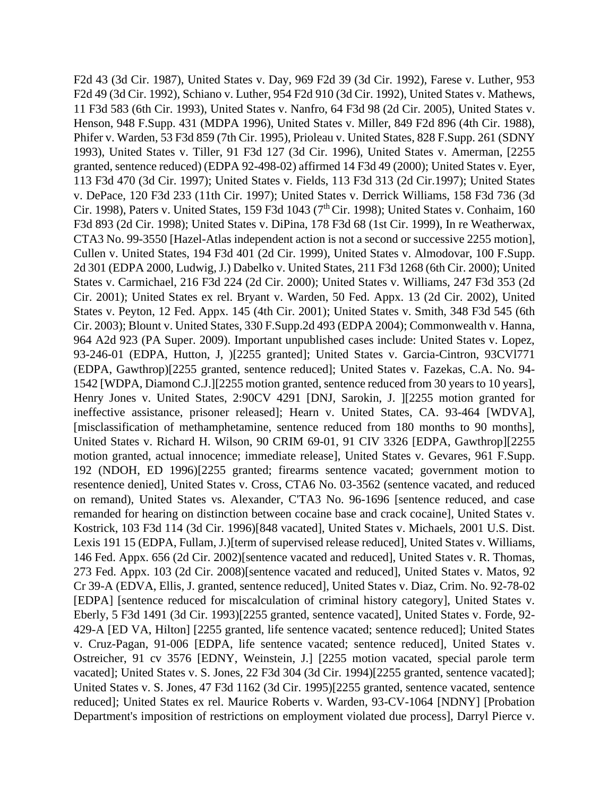F2d 43 (3d Cir. 1987), United States v. Day, 969 F2d 39 (3d Cir. 1992), Farese v. Luther, 953 F2d 49 (3d Cir. 1992), Schiano v. Luther, 954 F2d 910 (3d Cir. 1992), United States v. Mathews, 11 F3d 583 (6th Cir. 1993), United States v. Nanfro, 64 F3d 98 (2d Cir. 2005), United States v. Henson, 948 F.Supp. 431 (MDPA 1996), United States v. Miller, 849 F2d 896 (4th Cir. 1988), Phifer v. Warden, 53 F3d 859 (7th Cir. 1995), Prioleau v. United States, 828 F.Supp. 261 (SDNY 1993), United States v. Tiller, 91 F3d 127 (3d Cir. 1996), United States v. Amerman, [2255 granted, sentence reduced) (EDPA 92-498-02) affirmed 14 F3d 49 (2000); United States v. Eyer, 113 F3d 470 (3d Cir. 1997); United States v. Fields, 113 F3d 313 (2d Cir.1997); United States v. DePace, 120 F3d 233 (11th Cir. 1997); United States v. Derrick Williams, 158 F3d 736 (3d Cir. 1998), Paters v. United States, 159 F3d 1043 ( $7<sup>th</sup>$ Cir. 1998); United States v. Conhaim, 160 F3d 893 (2d Cir. 1998); United States v. DiPina, 178 F3d 68 (1st Cir. 1999), In re Weatherwax, CTA3 No. 99-3550 [Hazel-Atlas independent action is not a second or successive 2255 motion], Cullen v. United States, 194 F3d 401 (2d Cir. 1999), United States v. Almodovar, 100 F.Supp. 2d 301 (EDPA 2000, Ludwig, J.) Dabelko v. United States, 211 F3d 1268 (6th Cir. 2000); United States v. Carmichael, 216 F3d 224 (2d Cir. 2000); United States v. Williams, 247 F3d 353 (2d Cir. 2001); United States ex rel. Bryant v. Warden, 50 Fed. Appx. 13 (2d Cir. 2002), United States v. Peyton, 12 Fed. Appx. 145 (4th Cir. 2001); United States v. Smith, 348 F3d 545 (6th Cir. 2003); Blount v. United States, 330 F.Supp.2d 493 (EDPA 2004); Commonwealth v. Hanna, 964 A2d 923 (PA Super. 2009). Important unpublished cases include: United States v. Lopez, 93-246-01 (EDPA, Hutton, J, )[2255 granted]; United States v. Garcia-Cintron, 93CVl771 (EDPA, Gawthrop)[2255 granted, sentence reduced]; United States v. Fazekas, C.A. No. 94- 1542 [WDPA, Diamond C.J.][2255 motion granted, sentence reduced from 30 years to 10 years], Henry Jones v. United States, 2:90CV 4291 [DNJ, Sarokin, J. ][2255 motion granted for ineffective assistance, prisoner released]; Hearn v. United States, CA. 93-464 [WDVA], [misclassification of methamphetamine, sentence reduced from 180 months to 90 months], United States v. Richard H. Wilson, 90 CRIM 69-01, 91 CIV 3326 [EDPA, Gawthrop][2255 motion granted, actual innocence; immediate release], United States v. Gevares, 961 F.Supp. 192 (NDOH, ED 1996)[2255 granted; firearms sentence vacated; government motion to resentence denied], United States v. Cross, CTA6 No. 03-3562 (sentence vacated, and reduced on remand), United States vs. Alexander, C'TA3 No. 96-1696 [sentence reduced, and case remanded for hearing on distinction between cocaine base and crack cocaine], United States v. Kostrick, 103 F3d 114 (3d Cir. 1996)[848 vacated], United States v. Michaels, 2001 U.S. Dist. Lexis 191 15 (EDPA, Fullam, J.)[term of supervised release reduced], United States v. Williams, 146 Fed. Appx. 656 (2d Cir. 2002)[sentence vacated and reduced], United States v. R. Thomas, 273 Fed. Appx. 103 (2d Cir. 2008)[sentence vacated and reduced], United States v. Matos, 92 Cr 39-A (EDVA, Ellis, J. granted, sentence reduced], United States v. Diaz, Crim. No. 92-78-02 [EDPA] [sentence reduced for miscalculation of criminal history category], United States v. Eberly, 5 F3d 1491 (3d Cir. 1993)[2255 granted, sentence vacated], United States v. Forde, 92- 429-A [ED VA, Hilton] [2255 granted, life sentence vacated; sentence reduced]; United States v. Cruz-Pagan, 91-006 [EDPA, life sentence vacated; sentence reduced], United States v. Ostreicher, 91 cv 3576 [EDNY, Weinstein, J.] [2255 motion vacated, special parole term vacated]; United States v. S. Jones, 22 F3d 304 (3d Cir. 1994)[2255 granted, sentence vacated]; United States v. S. Jones, 47 F3d 1162 (3d Cir. 1995)[2255 granted, sentence vacated, sentence reduced]; United States ex rel. Maurice Roberts v. Warden, 93-CV-1064 [NDNY] [Probation Department's imposition of restrictions on employment violated due process], Darryl Pierce v.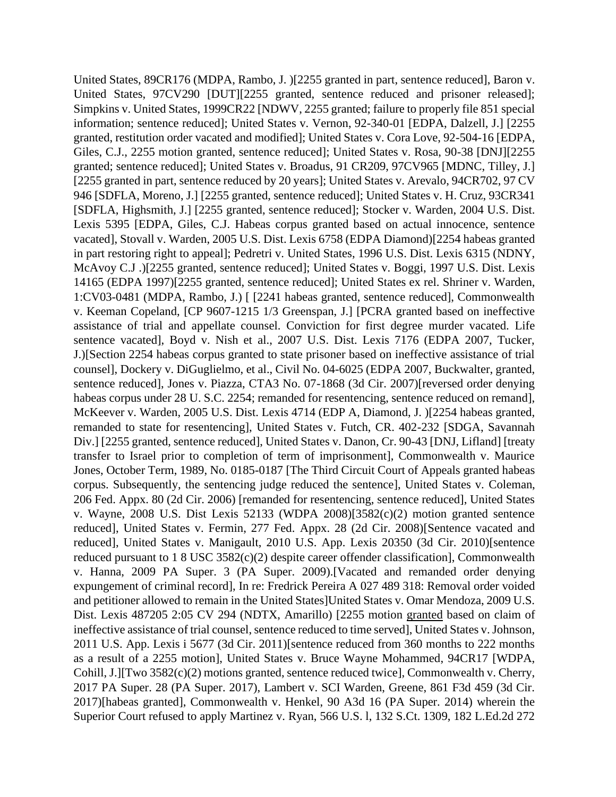United States, 89CR176 (MDPA, Rambo, J. )[2255 granted in part, sentence reduced], Baron v. United States, 97CV290 [DUT][2255 granted, sentence reduced and prisoner released]; Simpkins v. United States, 1999CR22 [NDWV, 2255 granted; failure to properly file 851 special information; sentence reduced]; United States v. Vernon, 92-340-01 [EDPA, Dalzell, J.] [2255 granted, restitution order vacated and modified]; United States v. Cora Love, 92-504-16 [EDPA, Giles, C.J., 2255 motion granted, sentence reduced]; United States v. Rosa, 90-38 [DNJ][2255 granted; sentence reduced]; United States v. Broadus, 91 CR209, 97CV965 [MDNC, Tilley, J.] [2255 granted in part, sentence reduced by 20 years]; United States v. Arevalo, 94CR702, 97 CV 946 [SDFLA, Moreno, J.] [2255 granted, sentence reduced]; United States v. H. Cruz, 93CR341 [SDFLA, Highsmith, J.] [2255 granted, sentence reduced]; Stocker v. Warden, 2004 U.S. Dist. Lexis 5395 [EDPA, Giles, C.J. Habeas corpus granted based on actual innocence, sentence vacated], Stovall v. Warden, 2005 U.S. Dist. Lexis 6758 (EDPA Diamond)[2254 habeas granted in part restoring right to appeal]; Pedretri v. United States, 1996 U.S. Dist. Lexis 6315 (NDNY, McAvoy C.J .)[2255 granted, sentence reduced]; United States v. Boggi, 1997 U.S. Dist. Lexis 14165 (EDPA 1997)[2255 granted, sentence reduced]; United States ex rel. Shriner v. Warden, 1:CV03-0481 (MDPA, Rambo, J.) [ [2241 habeas granted, sentence reduced], Commonwealth v. Keeman Copeland, [CP 9607-1215 1/3 Greenspan, J.] [PCRA granted based on ineffective assistance of trial and appellate counsel. Conviction for first degree murder vacated. Life sentence vacated], Boyd v. Nish et al., 2007 U.S. Dist. Lexis 7176 (EDPA 2007, Tucker, J.)[Section 2254 habeas corpus granted to state prisoner based on ineffective assistance of trial counsel], Dockery v. DiGuglielmo, et al., Civil No. 04-6025 (EDPA 2007, Buckwalter, granted, sentence reduced], Jones v. Piazza, CTA3 No. 07-1868 (3d Cir. 2007)[reversed order denying habeas corpus under 28 U. S.C. 2254; remanded for resentencing, sentence reduced on remand], McKeever v. Warden, 2005 U.S. Dist. Lexis 4714 (EDP A, Diamond, J. )[2254 habeas granted, remanded to state for resentencing], United States v. Futch, CR. 402-232 [SDGA, Savannah Div.] [2255 granted, sentence reduced], United States v. Danon, Cr. 90-43 [DNJ, Lifland] [treaty transfer to Israel prior to completion of term of imprisonment], Commonwealth v. Maurice Jones, October Term, 1989, No. 0185-0187 [The Third Circuit Court of Appeals granted habeas corpus. Subsequently, the sentencing judge reduced the sentence], United States v. Coleman, 206 Fed. Appx. 80 (2d Cir. 2006) [remanded for resentencing, sentence reduced], United States v. Wayne, 2008 U.S. Dist Lexis 52133 (WDPA 2008)[3582(c)(2) motion granted sentence reduced], United States v. Fermin, 277 Fed. Appx. 28 (2d Cir. 2008)[Sentence vacated and reduced], United States v. Manigault, 2010 U.S. App. Lexis 20350 (3d Cir. 2010)[sentence reduced pursuant to 1 8 USC 3582(c)(2) despite career offender classification], Commonwealth v. Hanna, 2009 PA Super. 3 (PA Super. 2009).[Vacated and remanded order denying expungement of criminal record], In re: Fredrick Pereira A 027 489 318: Removal order voided and petitioner allowed to remain in the United States]United States v. Omar Mendoza, 2009 U.S. Dist. Lexis 487205 2:05 CV 294 (NDTX, Amarillo) [2255 motion granted based on claim of ineffective assistance of trial counsel, sentence reduced to time served], United States v. Johnson, 2011 U.S. App. Lexis i 5677 (3d Cir. 2011)[sentence reduced from 360 months to 222 months as a result of a 2255 motion], United States v. Bruce Wayne Mohammed, 94CR17 [WDPA, Cohill, J.][Two  $3582(c)(2)$  motions granted, sentence reduced twice], Commonwealth v. Cherry, 2017 PA Super. 28 (PA Super. 2017), Lambert v. SCI Warden, Greene, 861 F3d 459 (3d Cir. 2017)[habeas granted], Commonwealth v. Henkel, 90 A3d 16 (PA Super. 2014) wherein the Superior Court refused to apply Martinez v. Ryan, 566 U.S. l, 132 S.Ct. 1309, 182 L.Ed.2d 272